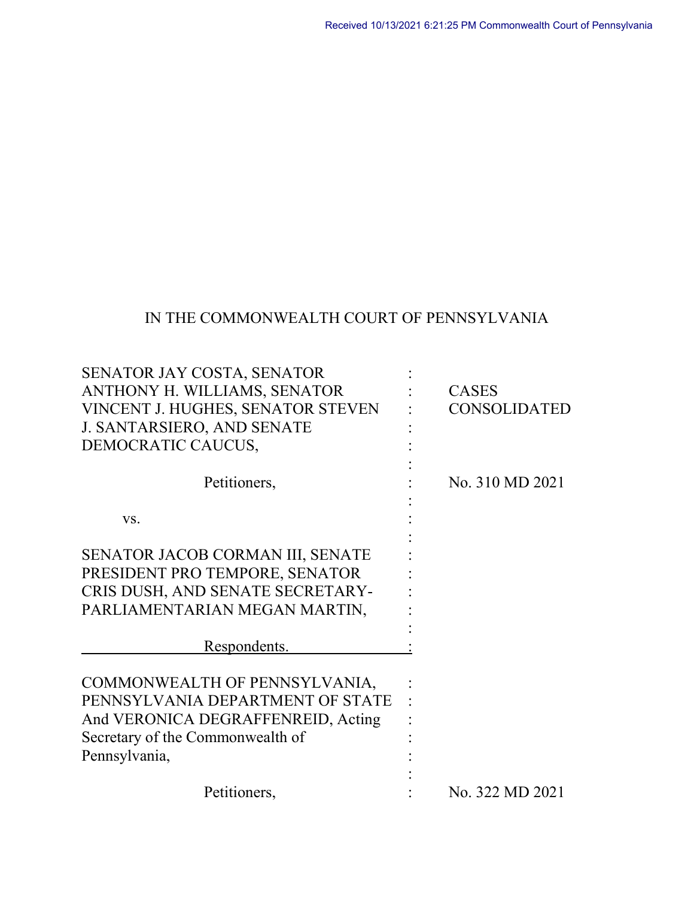# IN THE COMMONWEALTH COURT OF PENNSYLVANIA

| SENATOR JAY COSTA, SENATOR         |                     |
|------------------------------------|---------------------|
| ANTHONY H. WILLIAMS, SENATOR       | <b>CASES</b>        |
| VINCENT J. HUGHES, SENATOR STEVEN  | <b>CONSOLIDATED</b> |
| J. SANTARSIERO, AND SENATE         |                     |
| DEMOCRATIC CAUCUS,                 |                     |
| Petitioners,                       | No. 310 MD 2021     |
| VS.                                |                     |
| SENATOR JACOB CORMAN III, SENATE   |                     |
| PRESIDENT PRO TEMPORE, SENATOR     |                     |
| CRIS DUSH, AND SENATE SECRETARY-   |                     |
| PARLIAMENTARIAN MEGAN MARTIN,      |                     |
|                                    |                     |
| Respondents.                       |                     |
| COMMONWEALTH OF PENNSYLVANIA,      |                     |
| PENNSYLVANIA DEPARTMENT OF STATE   |                     |
| And VERONICA DEGRAFFENREID, Acting |                     |
| Secretary of the Commonwealth of   |                     |
| Pennsylvania,                      |                     |
|                                    |                     |
| Petitioners,                       | No. 322 MD 2021     |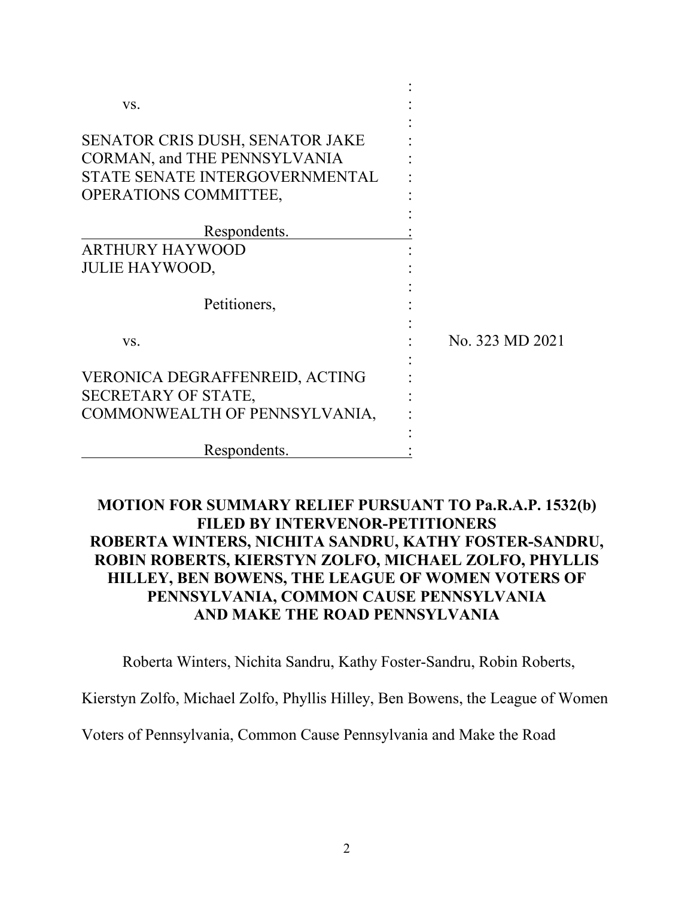| VS.                             |                 |
|---------------------------------|-----------------|
| SENATOR CRIS DUSH, SENATOR JAKE |                 |
| CORMAN, and THE PENNSYLVANIA    |                 |
| STATE SENATE INTERGOVERNMENTAL  |                 |
| <b>OPERATIONS COMMITTEE,</b>    |                 |
| Respondents.                    |                 |
| ARTHURY HAYWOOD                 |                 |
| <b>JULIE HAYWOOD,</b>           |                 |
| Petitioners,                    |                 |
| VS.                             | No. 323 MD 2021 |
| VERONICA DEGRAFFENREID, ACTING  |                 |
| SECRETARY OF STATE,             |                 |
| COMMONWEALTH OF PENNSYLVANIA,   |                 |
|                                 |                 |
| Respondents.                    |                 |

## **MOTION FOR SUMMARY RELIEF PURSUANT TO Pa.R.A.P. 1532(b) FILED BY INTERVENOR-PETITIONERS ROBERTA WINTERS, NICHITA SANDRU, KATHY FOSTER-SANDRU, ROBIN ROBERTS, KIERSTYN ZOLFO, MICHAEL ZOLFO, PHYLLIS HILLEY, BEN BOWENS, THE LEAGUE OF WOMEN VOTERS OF PENNSYLVANIA, COMMON CAUSE PENNSYLVANIA AND MAKE THE ROAD PENNSYLVANIA**

Roberta Winters, Nichita Sandru, Kathy Foster-Sandru, Robin Roberts,

Kierstyn Zolfo, Michael Zolfo, Phyllis Hilley, Ben Bowens, the League of Women

Voters of Pennsylvania, Common Cause Pennsylvania and Make the Road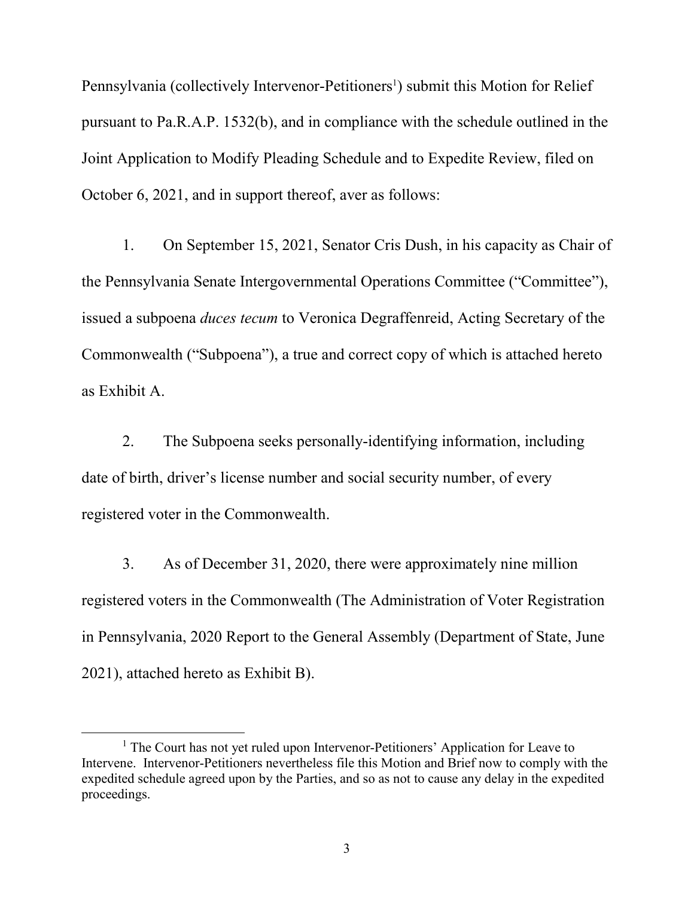Pennsylvania (collectively Intervenor-Petitioners<sup>1</sup>) submit this Motion for Relief pursuant to Pa.R.A.P. 1532(b), and in compliance with the schedule outlined in the Joint Application to Modify Pleading Schedule and to Expedite Review, filed on October 6, 2021, and in support thereof, aver as follows:

1. On September 15, 2021, Senator Cris Dush, in his capacity as Chair of the Pennsylvania Senate Intergovernmental Operations Committee ("Committee"), issued a subpoena *duces tecum* to Veronica Degraffenreid, Acting Secretary of the Commonwealth ("Subpoena"), a true and correct copy of which is attached hereto as Exhibit A.

2. The Subpoena seeks personally-identifying information, including date of birth, driver's license number and social security number, of every registered voter in the Commonwealth.

3. As of December 31, 2020, there were approximately nine million registered voters in the Commonwealth (The Administration of Voter Registration in Pennsylvania, 2020 Report to the General Assembly (Department of State, June 2021), attached hereto as Exhibit B).

 $\overline{a}$ 

<sup>&</sup>lt;sup>1</sup> The Court has not yet ruled upon Intervenor-Petitioners' Application for Leave to Intervene. Intervenor-Petitioners nevertheless file this Motion and Brief now to comply with the expedited schedule agreed upon by the Parties, and so as not to cause any delay in the expedited proceedings.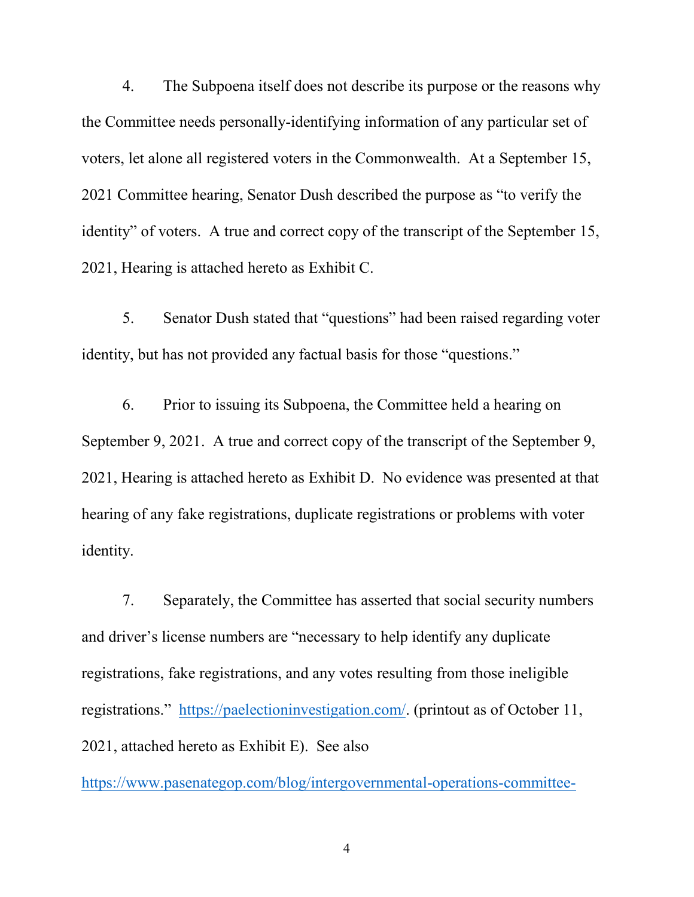4. The Subpoena itself does not describe its purpose or the reasons why the Committee needs personally-identifying information of any particular set of voters, let alone all registered voters in the Commonwealth. At a September 15, 2021 Committee hearing, Senator Dush described the purpose as "to verify the identity" of voters. A true and correct copy of the transcript of the September 15, 2021, Hearing is attached hereto as Exhibit C.

5. Senator Dush stated that "questions" had been raised regarding voter identity, but has not provided any factual basis for those "questions."

6. Prior to issuing its Subpoena, the Committee held a hearing on September 9, 2021. A true and correct copy of the transcript of the September 9, 2021, Hearing is attached hereto as Exhibit D. No evidence was presented at that hearing of any fake registrations, duplicate registrations or problems with voter identity.

7. Separately, the Committee has asserted that social security numbers and driver's license numbers are "necessary to help identify any duplicate registrations, fake registrations, and any votes resulting from those ineligible registrations." [https://paelectioninvestigation.com/.](https://paelectioninvestigation.com/) (printout as of October 11, 2021, attached hereto as Exhibit E). See also

[https://www.pasenategop.com/blog/intergovernmental-operations-committee-](https://www.pasenategop.com/blog/intergovernmental-operations-committee-announces-new-election-integrity-investigation-website/)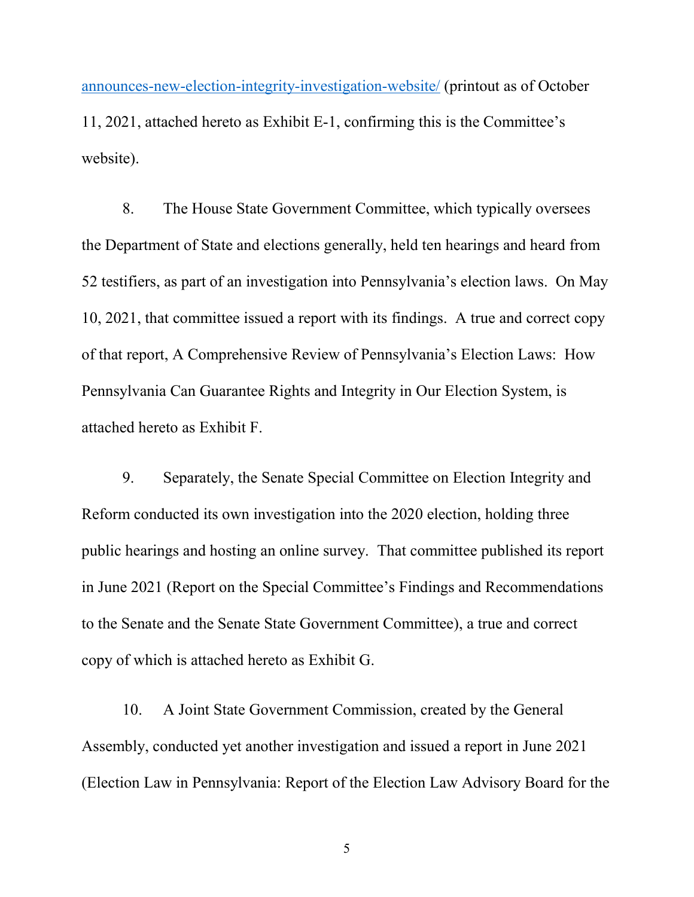[announces-new-election-integrity-investigation-website/](https://www.pasenategop.com/blog/intergovernmental-operations-committee-announces-new-election-integrity-investigation-website/) (printout as of October 11, 2021, attached hereto as Exhibit E-1, confirming this is the Committee's website).

8. The House State Government Committee, which typically oversees the Department of State and elections generally, held ten hearings and heard from 52 testifiers, as part of an investigation into Pennsylvania's election laws. On May 10, 2021, that committee issued a report with its findings. A true and correct copy of that report, A Comprehensive Review of Pennsylvania's Election Laws: How Pennsylvania Can Guarantee Rights and Integrity in Our Election System, is attached hereto as Exhibit F.

9. Separately, the Senate Special Committee on Election Integrity and Reform conducted its own investigation into the 2020 election, holding three public hearings and hosting an online survey. That committee published its report in June 2021 (Report on the Special Committee's Findings and Recommendations to the Senate and the Senate State Government Committee), a true and correct copy of which is attached hereto as Exhibit G.

10. A Joint State Government Commission, created by the General Assembly, conducted yet another investigation and issued a report in June 2021 (Election Law in Pennsylvania: Report of the Election Law Advisory Board for the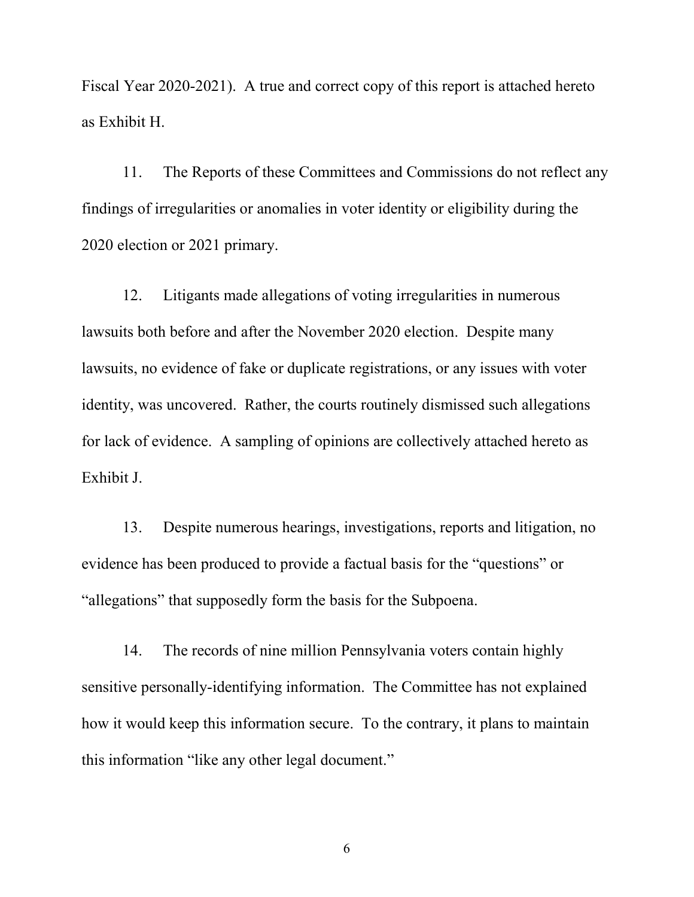Fiscal Year 2020-2021). A true and correct copy of this report is attached hereto as Exhibit H.

11. The Reports of these Committees and Commissions do not reflect any findings of irregularities or anomalies in voter identity or eligibility during the 2020 election or 2021 primary.

12. Litigants made allegations of voting irregularities in numerous lawsuits both before and after the November 2020 election. Despite many lawsuits, no evidence of fake or duplicate registrations, or any issues with voter identity, was uncovered. Rather, the courts routinely dismissed such allegations for lack of evidence. A sampling of opinions are collectively attached hereto as Exhibit J.

13. Despite numerous hearings, investigations, reports and litigation, no evidence has been produced to provide a factual basis for the "questions" or "allegations" that supposedly form the basis for the Subpoena.

14. The records of nine million Pennsylvania voters contain highly sensitive personally-identifying information. The Committee has not explained how it would keep this information secure. To the contrary, it plans to maintain this information "like any other legal document."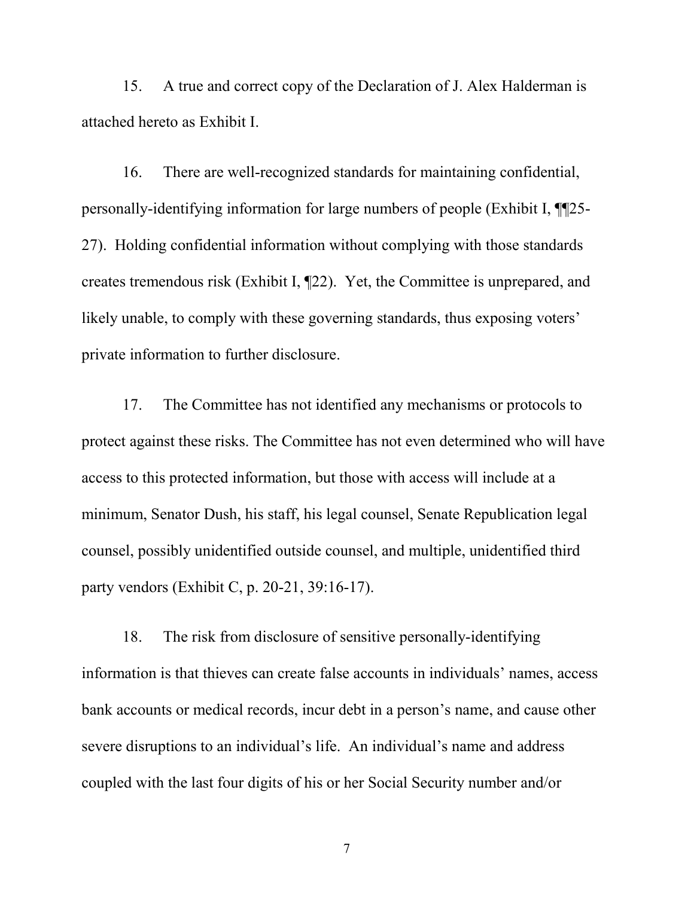15. A true and correct copy of the Declaration of J. Alex Halderman is attached hereto as Exhibit I.

16. There are well-recognized standards for maintaining confidential, personally-identifying information for large numbers of people (Exhibit I, ¶¶25- 27). Holding confidential information without complying with those standards creates tremendous risk (Exhibit I, ¶22). Yet, the Committee is unprepared, and likely unable, to comply with these governing standards, thus exposing voters' private information to further disclosure.

17. The Committee has not identified any mechanisms or protocols to protect against these risks. The Committee has not even determined who will have access to this protected information, but those with access will include at a minimum, Senator Dush, his staff, his legal counsel, Senate Republication legal counsel, possibly unidentified outside counsel, and multiple, unidentified third party vendors (Exhibit C, p. 20-21, 39:16-17).

18. The risk from disclosure of sensitive personally-identifying information is that thieves can create false accounts in individuals' names, access bank accounts or medical records, incur debt in a person's name, and cause other severe disruptions to an individual's life. An individual's name and address coupled with the last four digits of his or her Social Security number and/or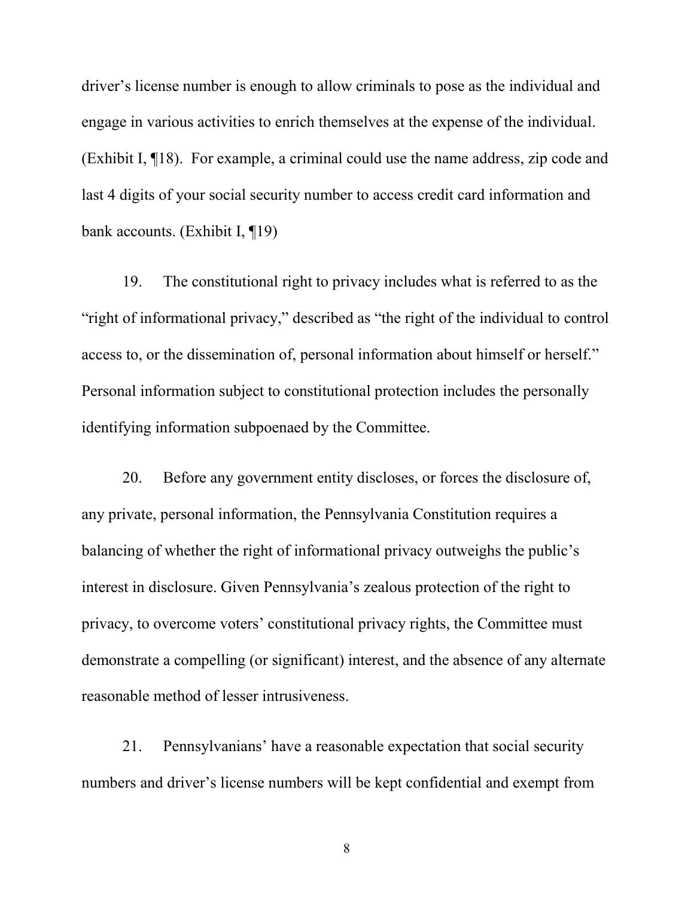driver's license number is enough to allow criminals to pose as the individual and engage in various activities to enrich themselves at the expense of the individual. (Exhibit I, ¶18). For example, a criminal could use the name address, zip code and last 4 digits of your social security number to access credit card information and bank accounts. (Exhibit I, ¶19)

19. The constitutional right to privacy includes what is referred to as the "right of informational privacy," described as "the right of the individual to control access to, or the dissemination of, personal information about himself or herself." Personal information subject to constitutional protection includes the personally identifying information subpoenaed by the Committee.

20. Before any government entity discloses, or forces the disclosure of, any private, personal information, the Pennsylvania Constitution requires a balancing of whether the right of informational privacy outweighs the public's interest in disclosure. Given Pennsylvania's zealous protection of the right to privacy, to overcome voters' constitutional privacy rights, the Committee must demonstrate a compelling (or significant) interest, and the absence of any alternate reasonable method of lesser intrusiveness.

21. Pennsylvanians' have a reasonable expectation that social security numbers and driver's license numbers will be kept confidential and exempt from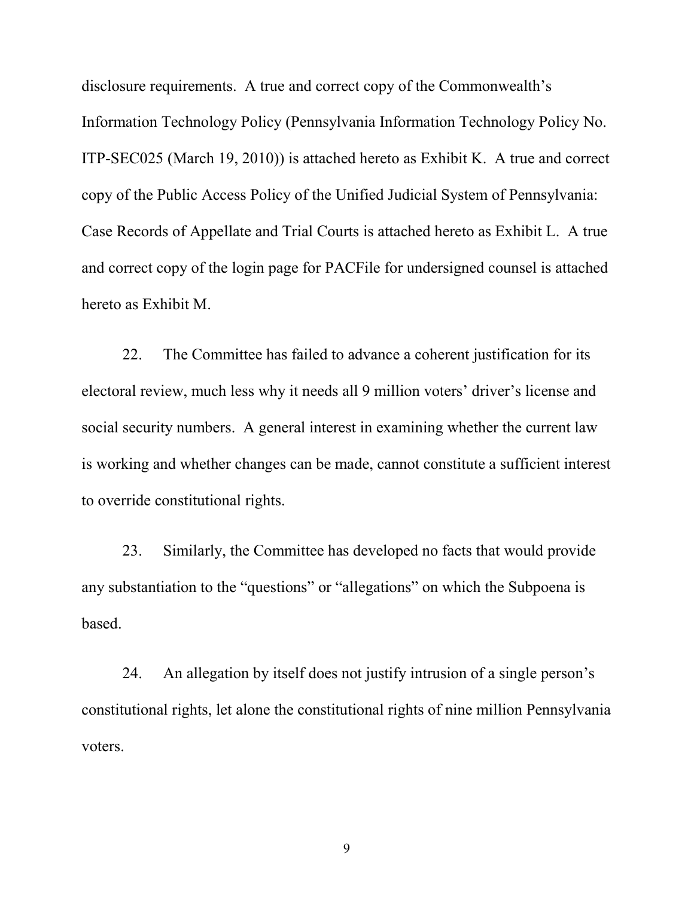disclosure requirements. A true and correct copy of the Commonwealth's Information Technology Policy (Pennsylvania Information Technology Policy No. ITP-SEC025 (March 19, 2010)) is attached hereto as Exhibit K. A true and correct copy of the Public Access Policy of the Unified Judicial System of Pennsylvania: Case Records of Appellate and Trial Courts is attached hereto as Exhibit L. A true and correct copy of the login page for PACFile for undersigned counsel is attached hereto as Exhibit M.

22. The Committee has failed to advance a coherent justification for its electoral review, much less why it needs all 9 million voters' driver's license and social security numbers. A general interest in examining whether the current law is working and whether changes can be made, cannot constitute a sufficient interest to override constitutional rights.

23. Similarly, the Committee has developed no facts that would provide any substantiation to the "questions" or "allegations" on which the Subpoena is based.

24. An allegation by itself does not justify intrusion of a single person's constitutional rights, let alone the constitutional rights of nine million Pennsylvania voters.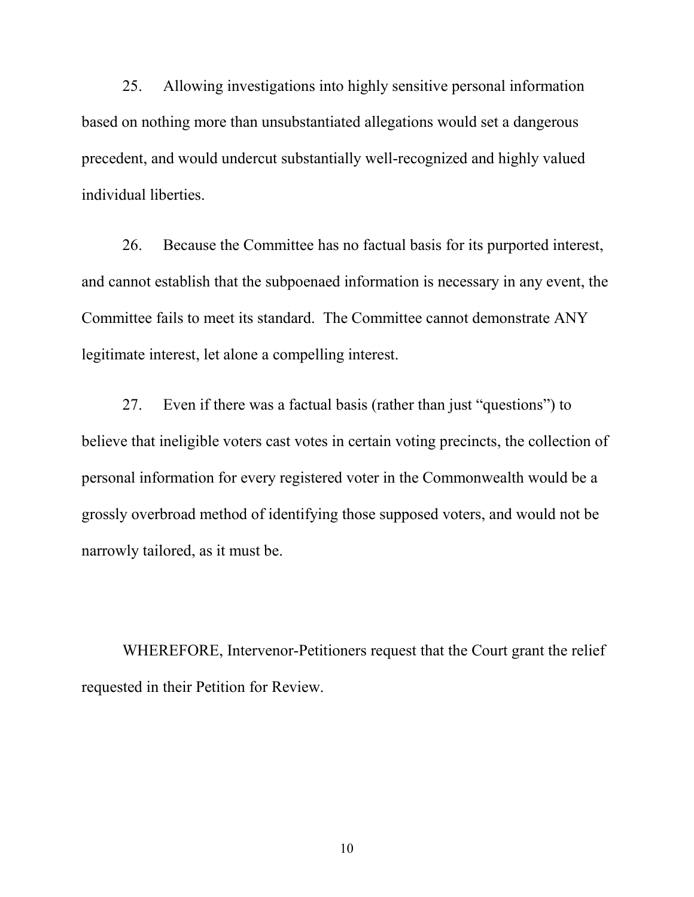25. Allowing investigations into highly sensitive personal information based on nothing more than unsubstantiated allegations would set a dangerous precedent, and would undercut substantially well-recognized and highly valued individual liberties.

26. Because the Committee has no factual basis for its purported interest, and cannot establish that the subpoenaed information is necessary in any event, the Committee fails to meet its standard. The Committee cannot demonstrate ANY legitimate interest, let alone a compelling interest.

27. Even if there was a factual basis (rather than just "questions") to believe that ineligible voters cast votes in certain voting precincts, the collection of personal information for every registered voter in the Commonwealth would be a grossly overbroad method of identifying those supposed voters, and would not be narrowly tailored, as it must be.

WHEREFORE, Intervenor-Petitioners request that the Court grant the relief requested in their Petition for Review.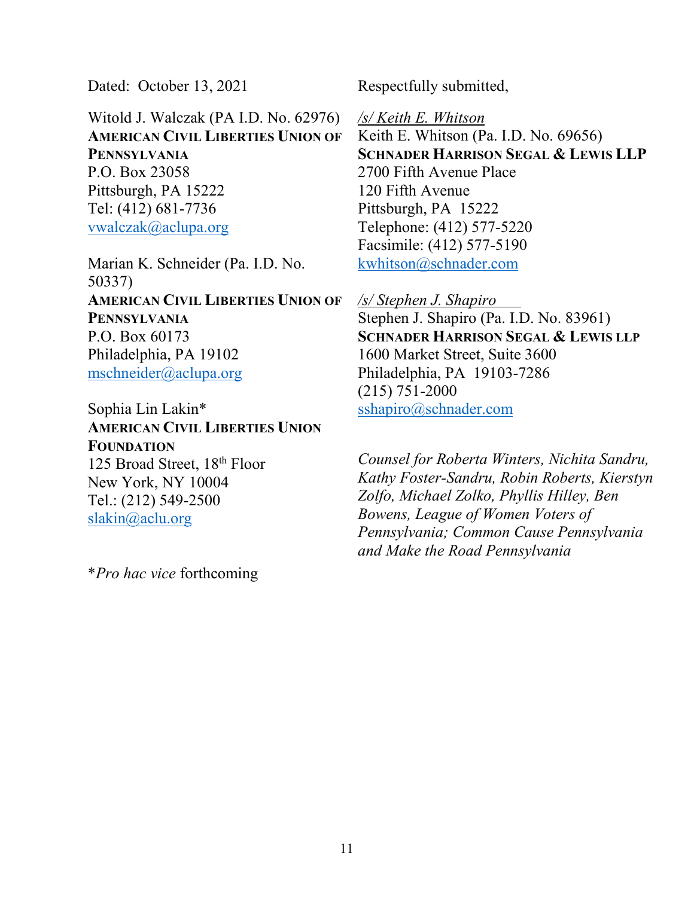Dated: October 13, 2021

Witold J. Walczak (PA I.D. No. 62976) **AMERICAN CIVIL LIBERTIES UNION OF PENNSYLVANIA** P.O. Box 23058 Pittsburgh, PA 15222 Tel: (412) 681-7736 [vwalczak@aclupa.org](mailto:vwalczak@aclupa.org) 

Marian K. Schneider (Pa. I.D. No. 50337) **AMERICAN CIVIL LIBERTIES UNION OF PENNSYLVANIA** P.O. Box 60173 Philadelphia, PA 19102 [mschneider@aclupa.org](mailto:mschneider@aclupa.org) 

Sophia Lin Lakin\* **AMERICAN CIVIL LIBERTIES UNION FOUNDATION** 125 Broad Street, 18<sup>th</sup> Floor New York, NY 10004 Tel.: (212) 549-2500 [slakin@aclu.org](mailto:slakin@aclu.org) 

\**Pro hac vice* forthcoming

Respectfully submitted,

*/s/ Keith E. Whitson*  Keith E. Whitson (Pa. I.D. No. 69656) **SCHNADER HARRISON SEGAL & LEWIS LLP** 2700 Fifth Avenue Place 120 Fifth Avenue Pittsburgh, PA 15222 Telephone: (412) 577-5220 Facsimile: (412) 577-5190 [kwhitson@schnader.com](mailto:kwhitson@schnader.com)

*/s/ Stephen J. Shapiro*  Stephen J. Shapiro (Pa. I.D. No. 83961) **SCHNADER HARRISON SEGAL & LEWIS LLP** 1600 Market Street, Suite 3600 Philadelphia, PA 19103-7286 (215) 751-2000 [sshapiro@schnader.com](mailto:sshapiro@schnader.com) 

*Counsel for Roberta Winters, Nichita Sandru, Kathy Foster-Sandru, Robin Roberts, Kierstyn Zolfo, Michael Zolko, Phyllis Hilley, Ben Bowens, League of Women Voters of Pennsylvania; Common Cause Pennsylvania and Make the Road Pennsylvania*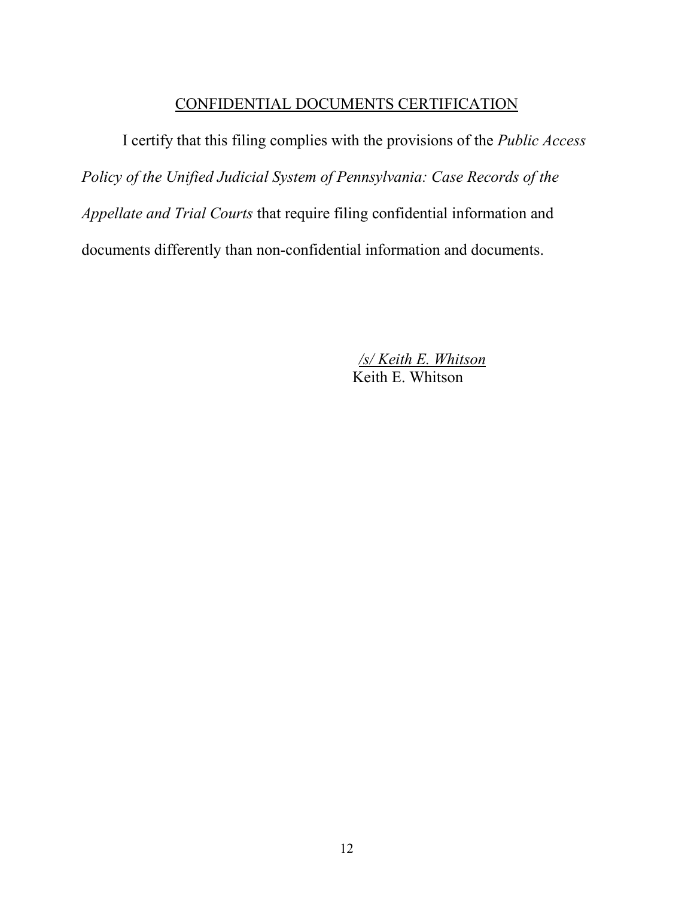## CONFIDENTIAL DOCUMENTS CERTIFICATION

I certify that this filing complies with the provisions of the *Public Access Policy of the Unified Judicial System of Pennsylvania: Case Records of the Appellate and Trial Courts* that require filing confidential information and documents differently than non-confidential information and documents.

> */s/ Keith E. Whitson*  Keith E. Whitson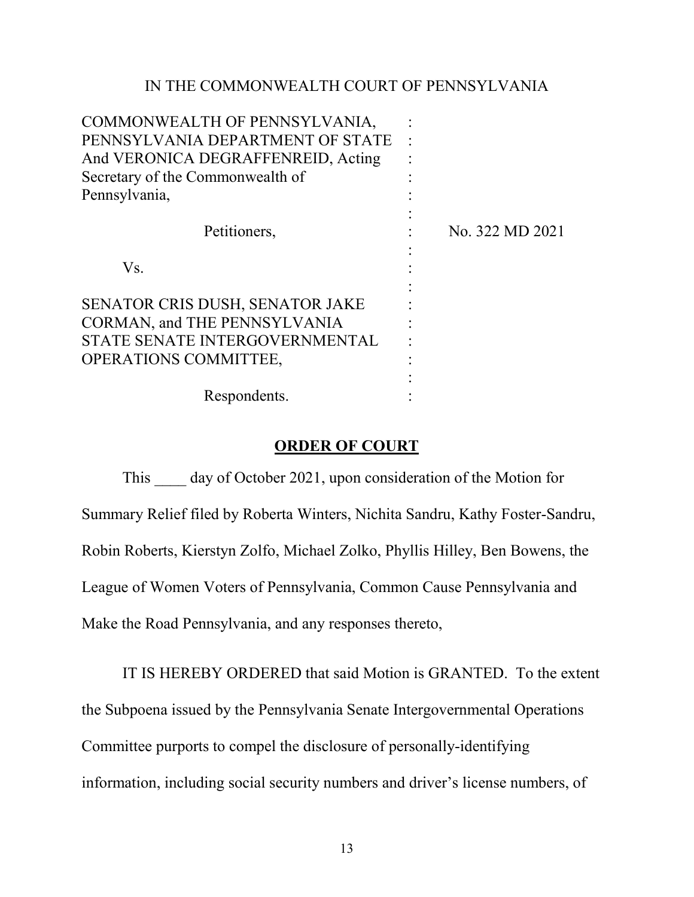## IN THE COMMONWEALTH COURT OF PENNSYLVANIA

| COMMONWEALTH OF PENNSYLVANIA,       |                 |
|-------------------------------------|-----------------|
| PENNSYLVANIA DEPARTMENT OF STATE    |                 |
| And VERONICA DEGRAFFENREID, Acting  |                 |
| Secretary of the Commonwealth of    |                 |
| Pennsylvania,                       |                 |
|                                     |                 |
| Petitioners,                        | No. 322 MD 2021 |
|                                     |                 |
| Vs.                                 |                 |
|                                     |                 |
| SENATOR CRIS DUSH, SENATOR JAKE     |                 |
| <b>CORMAN, and THE PENNSYLVANIA</b> |                 |
| STATE SENATE INTERGOVERNMENTAL      |                 |
| <b>OPERATIONS COMMITTEE,</b>        |                 |
|                                     |                 |
| Respondents.                        |                 |

#### **ORDER OF COURT**

This day of October 2021, upon consideration of the Motion for Summary Relief filed by Roberta Winters, Nichita Sandru, Kathy Foster-Sandru, Robin Roberts, Kierstyn Zolfo, Michael Zolko, Phyllis Hilley, Ben Bowens, the League of Women Voters of Pennsylvania, Common Cause Pennsylvania and Make the Road Pennsylvania, and any responses thereto,

IT IS HEREBY ORDERED that said Motion is GRANTED. To the extent the Subpoena issued by the Pennsylvania Senate Intergovernmental Operations Committee purports to compel the disclosure of personally-identifying information, including social security numbers and driver's license numbers, of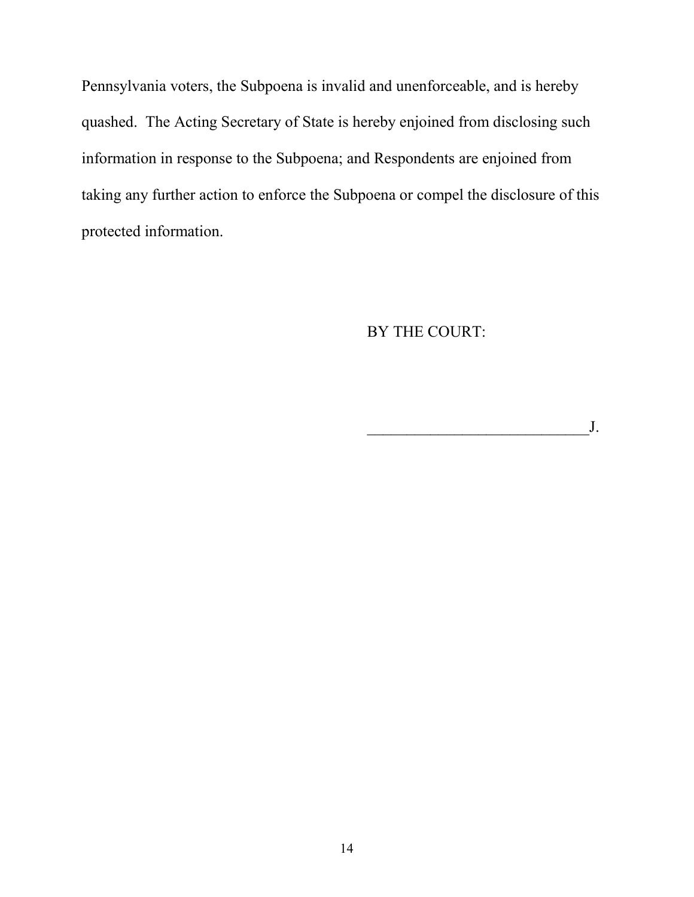Pennsylvania voters, the Subpoena is invalid and unenforceable, and is hereby quashed. The Acting Secretary of State is hereby enjoined from disclosing such information in response to the Subpoena; and Respondents are enjoined from taking any further action to enforce the Subpoena or compel the disclosure of this protected information.

BY THE COURT:

 $J.$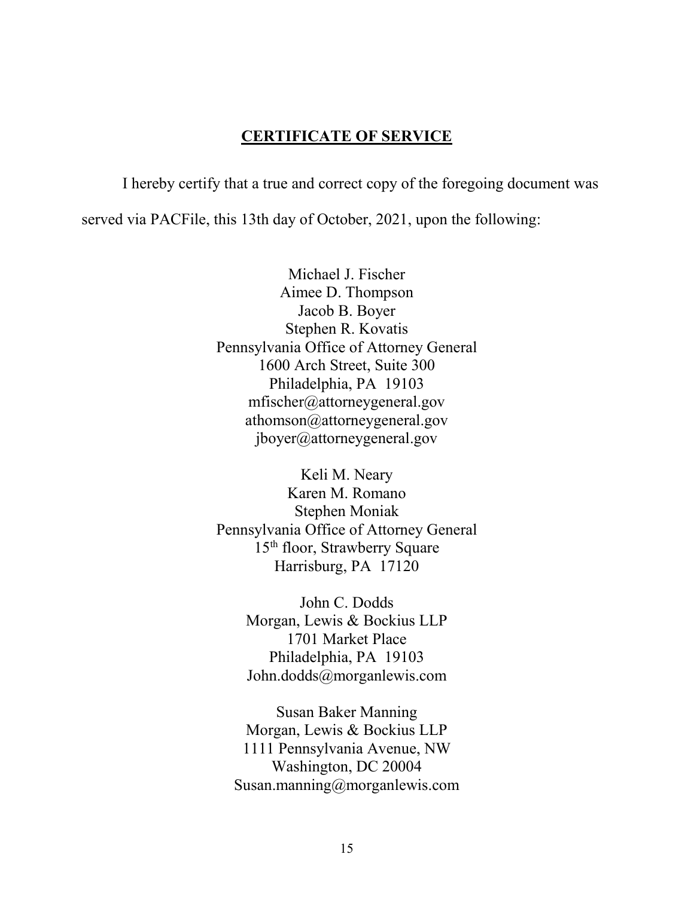### **CERTIFICATE OF SERVICE**

I hereby certify that a true and correct copy of the foregoing document was served via PACFile, this 13th day of October, 2021, upon the following:

> Michael J. Fischer Aimee D. Thompson Jacob B. Boyer Stephen R. Kovatis Pennsylvania Office of Attorney General 1600 Arch Street, Suite 300 Philadelphia, PA 19103 mfischer@attorneygeneral.gov athomson@attorneygeneral.gov jboyer@attorneygeneral.gov

> Keli M. Neary Karen M. Romano Stephen Moniak Pennsylvania Office of Attorney General 15th floor, Strawberry Square Harrisburg, PA 17120

> > John C. Dodds Morgan, Lewis & Bockius LLP 1701 Market Place Philadelphia, PA 19103 John.dodds@morganlewis.com

Susan Baker Manning Morgan, Lewis & Bockius LLP 1111 Pennsylvania Avenue, NW Washington, DC 20004 Susan.manning@morganlewis.com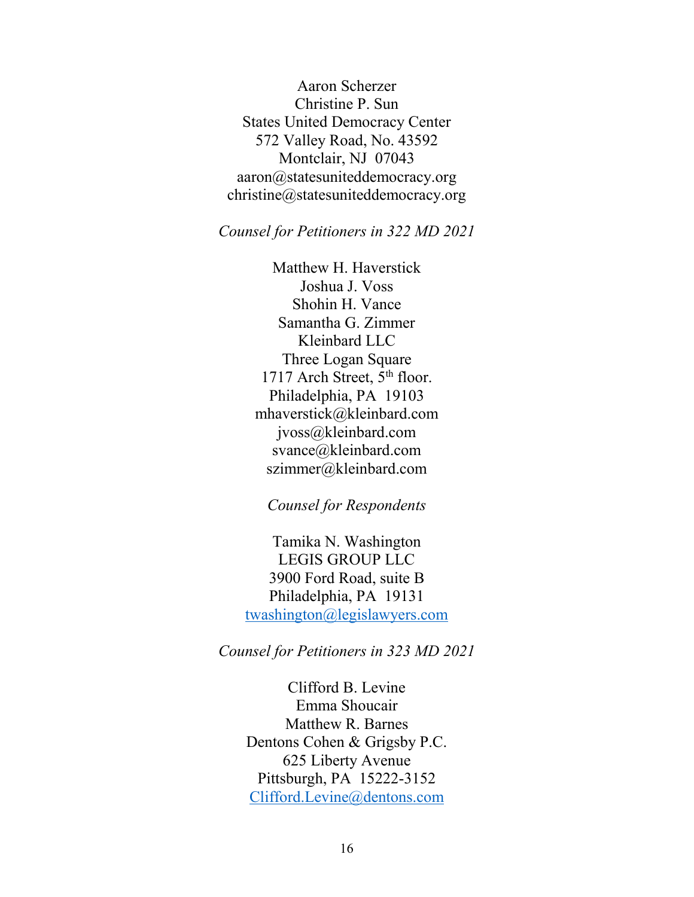Aaron Scherzer Christine P. Sun States United Democracy Center 572 Valley Road, No. 43592 Montclair, NJ 07043 aaron@statesuniteddemocracy.org christine@statesuniteddemocracy.org

### *Counsel for Petitioners in 322 MD 2021*

Matthew H. Haverstick Joshua J. Voss Shohin H. Vance Samantha G. Zimmer Kleinbard LLC Three Logan Square 1717 Arch Street, 5<sup>th</sup> floor. Philadelphia, PA 19103 mhaverstick@kleinbard.com jvoss@kleinbard.com svance@kleinbard.com szimmer@kleinbard.com

#### *Counsel for Respondents*

Tamika N. Washington LEGIS GROUP LLC 3900 Ford Road, suite B Philadelphia, PA 19131 [twashington@legislawyers.com](mailto:twashington@legislawyers.com)

*Counsel for Petitioners in 323 MD 2021* 

Clifford B. Levine Emma Shoucair Matthew R. Barnes Dentons Cohen & Grigsby P.C. 625 Liberty Avenue Pittsburgh, PA 15222-3152 [Clifford.Levine@dentons.com](mailto:Clifford.Levine@dentons.com)